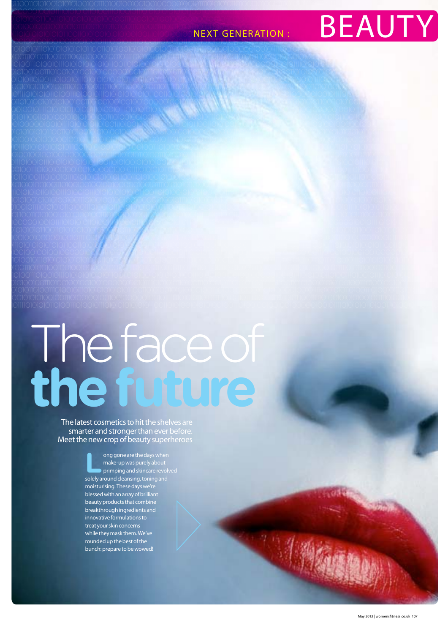#### **NEXT GENERATION:**



# The face of<br>the future

The latest cosmetics to hit the shelves are<br>smarter and stronger than ever before.<br>Meet the new crop of beauty superheroes

ong gone are the days when ers and the up was purely about<br>primping and skincare revolved solely around cleansing, toning and moisturising. These days we're<br>blessed with an array of brilliant beauty products that combine breakthrough ingredients and innovative formulations to treat your skin concerns while they mask them. We've rounded up the best of the bunch: prepare to be wowed!

中小海